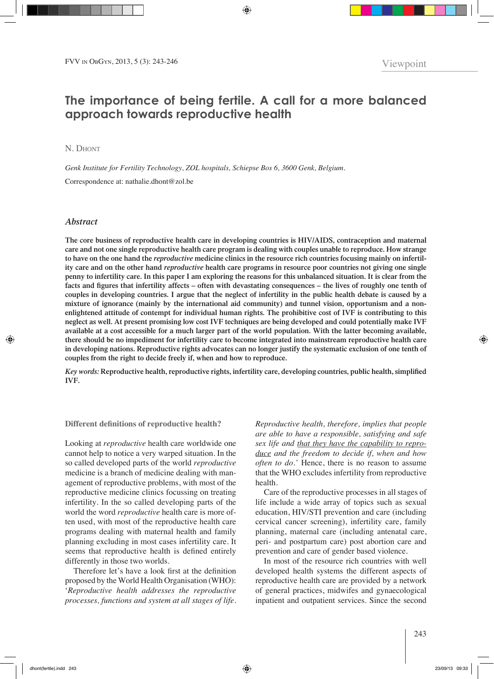# **The importance of being fertile. A call for a more balanced approach towards reproductive health**

N. DHONT

*Genk Institute for Fertility Technology, ZOL hospitals, Schiepse Bos 6, 3600 Genk, Belgium.* Correspondence at: nathalie.dhont@zol.be

# *Abstract*

**The core business of reproductive health care in developing countries is HIV/AIDS, contraception and maternal care and not one single reproductive health care program is dealing with couples unable to reproduce. How strange to have on the one hand the** *reproductive* **medicine clinics in the resource rich countries focusing mainly on infertility care and on the other hand** *reproductive* **health care programs in resource poor countries not giving one single penny to infertility care. In this paper I am exploring the reasons for this unbalanced situation. It is clear from the facts and figures that infertility affects – often with devastating consequences – the lives of roughly one tenth of couples in developing countries. I argue that the neglect of infertility in the public health debate is caused by a mixture of ignorance (mainly by the international aid community) and tunnel vision, opportunism and a nonenlightened attitude of contempt for individual human rights. The prohibitive cost of IVF is contributing to this neglect as well. At present promising low cost IVF techniques are being developed and could potentially make IVF available at a cost accessible for a much larger part of the world population. With the latter becoming available, there should be no impediment for infertility care to become integrated into mainstream reproductive health care in developing nations. Reproductive rights advocates can no longer justify the systematic exclusion of one tenth of couples from the right to decide freely if, when and how to reproduce.**

*Key words:* **Reproductive health, reproductive rights, infertility care, developing countries, public health, simplified IVF.**

# **Different definitions of reproductive health?**

Looking at *reproductive* health care worldwide one cannot help to notice a very warped situation. In the so called developed parts of the world *reproductive* medicine is a branch of medicine dealing with management of reproductive problems, with most of the reproductive medicine clinics focussing on treating infertility. In the so called developing parts of the world the word *reproductive* health care is more often used, with most of the reproductive health care programs dealing with maternal health and family planning excluding in most cases infertility care. It seems that reproductive health is defined entirely differently in those two worlds.

Therefore let's have a look first at the definition proposed by the World Health Organisation (WHO): '*Reproductive health addresses the reproductive processes, functions and system at all stages of life.* 

*Reproductive health, therefore, implies that people are able to have a responsible, satisfying and safe sex life and that they have the capability to reproduce and the freedom to decide if, when and how often to do.'* Hence, there is no reason to assume that the WHO excludes infertility from reproductive health.

Care of the reproductive processes in all stages of life include a wide array of topics such as sexual education, HIV/STI prevention and care (including cervical cancer screening), infertility care, family planning, maternal care (including antenatal care, peri- and postpartum care) post abortion care and prevention and care of gender based violence.

In most of the resource rich countries with well developed health systems the different aspects of reproductive health care are provided by a network of general practices, midwifes and gynaecological inpatient and outpatient services. Since the second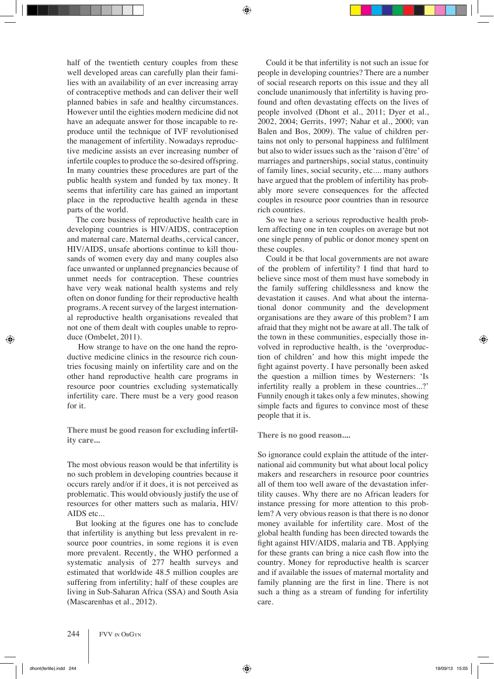half of the twentieth century couples from these well developed areas can carefully plan their families with an availability of an ever increasing array of contraceptive methods and can deliver their well planned babies in safe and healthy circumstances. However until the eighties modern medicine did not have an adequate answer for those incapable to reproduce until the technique of IVF revolutionised the management of infertility. Nowadays reproductive medicine assists an ever increasing number of infertile couples to produce the so-desired offspring. In many countries these procedures are part of the public health system and funded by tax money. It seems that infertility care has gained an important place in the reproductive health agenda in these parts of the world.

The core business of reproductive health care in developing countries is HIV/AIDS, contraception and maternal care. Maternal deaths, cervical cancer, HIV/AIDS, unsafe abortions continue to kill thousands of women every day and many couples also face unwanted or unplanned pregnancies because of unmet needs for contraception. These countries have very weak national health systems and rely often on donor funding for their reproductive health programs. A recent survey of the largest international reproductive health organisations revealed that not one of them dealt with couples unable to reproduce (Ombelet, 2011).

 How strange to have on the one hand the reproductive medicine clinics in the resource rich countries focusing mainly on infertility care and on the other hand reproductive health care programs in resource poor countries excluding systematically infertility care. There must be a very good reason for it.

**There must be good reason for excluding infertility care...**

The most obvious reason would be that infertility is no such problem in developing countries because it occurs rarely and/or if it does, it is not perceived as problematic. This would obviously justify the use of resources for other matters such as malaria, HIV/ AIDS etc...

But looking at the figures one has to conclude that infertility is anything but less prevalent in resource poor countries, in some regions it is even more prevalent. Recently, the WHO performed a systematic analysis of 277 health surveys and estimated that worldwide 48.5 million couples are suffering from infertility; half of these couples are living in Sub-Saharan Africa (SSA) and South Asia (Mascarenhas et al., 2012).

Could it be that infertility is not such an issue for people in developing countries? There are a number of social research reports on this issue and they all conclude unanimously that infertility is having profound and often devastating effects on the lives of people involved (Dhont et al., 2011; Dyer et al., 2002, 2004; Gerrits, 1997; Nahar et al., 2000; van Balen and Bos, 2009). The value of children pertains not only to personal happiness and fulfilment but also to wider issues such as the 'raison d'être' of marriages and partnerships, social status, continuity of family lines, social security, etc.... many authors have argued that the problem of infertility has probably more severe consequences for the affected couples in resource poor countries than in resource rich countries.

So we have a serious reproductive health problem affecting one in ten couples on average but not one single penny of public or donor money spent on these couples.

Could it be that local governments are not aware of the problem of infertility? I find that hard to believe since most of them must have somebody in the family suffering childlessness and know the devastation it causes. And what about the international donor community and the development organisations are they aware of this problem? I am afraid that they might not be aware at all. The talk of the town in these communities, especially those involved in reproductive health, is the 'overproduction of children' and how this might impede the fight against poverty. I have personally been asked the question a million times by Westerners: 'Is infertility really a problem in these countries...?' Funnily enough it takes only a few minutes, showing simple facts and figures to convince most of these people that it is.

**There is no good reason....**

So ignorance could explain the attitude of the international aid community but what about local policy makers and researchers in resource poor countries all of them too well aware of the devastation infertility causes. Why there are no African leaders for instance pressing for more attention to this problem? A very obvious reason is that there is no donor money available for infertility care. Most of the global health funding has been directed towards the fight against HIV/AIDS, malaria and TB. Applying for these grants can bring a nice cash flow into the country. Money for reproductive health is scarcer and if available the issues of maternal mortality and family planning are the first in line. There is not such a thing as a stream of funding for infertility care.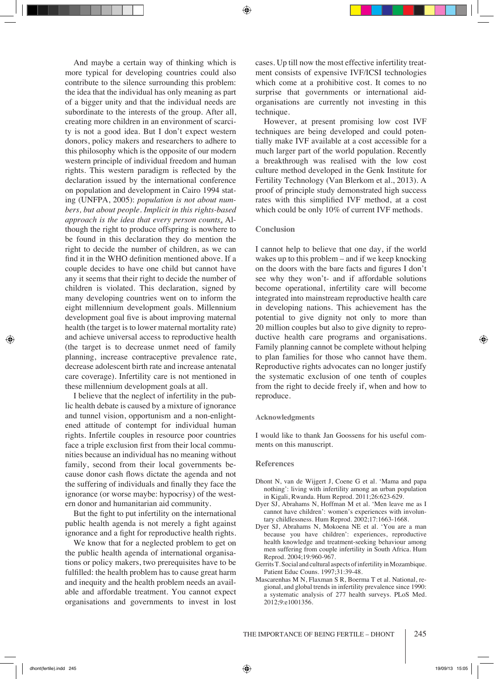And maybe a certain way of thinking which is more typical for developing countries could also contribute to the silence surrounding this problem: the idea that the individual has only meaning as part of a bigger unity and that the individual needs are subordinate to the interests of the group. After all, creating more children in an environment of scarcity is not a good idea. But I don't expect western donors, policy makers and researchers to adhere to this philosophy which is the opposite of our modern western principle of individual freedom and human rights. This western paradigm is reflected by the declaration issued by the international conference on population and development in Cairo 1994 stating (UNFPA, 2005): *population is not about numbers, but about people. Implicit in this rights-based approach is the idea that every person counts.* Although the right to produce offspring is nowhere to be found in this declaration they do mention the right to decide the number of children, as we can find it in the WHO definition mentioned above. If a couple decides to have one child but cannot have any it seems that their right to decide the number of children is violated. This declaration, signed by many developing countries went on to inform the eight millennium development goals. Millennium development goal five is about improving maternal health (the target is to lower maternal mortality rate) and achieve universal access to reproductive health (the target is to decrease unmet need of family planning, increase contraceptive prevalence rate, decrease adolescent birth rate and increase antenatal care coverage). Infertility care is not mentioned in these millennium development goals at all.

I believe that the neglect of infertility in the public health debate is caused by a mixture of ignorance and tunnel vision, opportunism and a non-enlightened attitude of contempt for individual human rights. Infertile couples in resource poor countries face a triple exclusion first from their local communities because an individual has no meaning without family, second from their local governments because donor cash flows dictate the agenda and not the suffering of individuals and finally they face the ignorance (or worse maybe: hypocrisy) of the western donor and humanitarian aid community.

But the fight to put infertility on the international public health agenda is not merely a fight against ignorance and a fight for reproductive health rights.

We know that for a neglected problem to get on the public health agenda of international organisations or policy makers, two prerequisites have to be fulfilled: the health problem has to cause great harm and inequity and the health problem needs an available and affordable treatment. You cannot expect organisations and governments to invest in lost cases. Up till now the most effective infertility treatment consists of expensive IVF/ICSI technologies which come at a prohibitive cost. It comes to no surprise that governments or international aidorganisations are currently not investing in this technique.

However, at present promising low cost IVF techniques are being developed and could potentially make IVF available at a cost accessible for a much larger part of the world population. Recently a breakthrough was realised with the low cost culture method developed in the Genk Institute for Fertility Technology (Van Blerkom et al., 2013). A proof of principle study demonstrated high success rates with this simplified IVF method, at a cost which could be only 10% of current IVF methods.

## **Conclusion**

I cannot help to believe that one day, if the world wakes up to this problem – and if we keep knocking on the doors with the bare facts and figures I don't see why they won't- and if affordable solutions become operational, infertility care will become integrated into mainstream reproductive health care in developing nations. This achievement has the potential to give dignity not only to more than 20 million couples but also to give dignity to reproductive health care programs and organisations. Family planning cannot be complete without helping to plan families for those who cannot have them. Reproductive rights advocates can no longer justify the systematic exclusion of one tenth of couples from the right to decide freely if, when and how to reproduce.

### **Acknowledgments**

I would like to thank Jan Goossens for his useful comments on this manuscript.

#### **References**

- Dhont N, van de Wijgert J, Coene G et al. 'Mama and papa nothing': living with infertility among an urban population in Kigali, Rwanda. Hum Reprod. 2011;26:623-629.
- Dyer SJ, Abrahams N, Hoffman M et al. 'Men leave me as I cannot have children': women's experiences with involuntary childlessness. Hum Reprod. 2002;17:1663-1668.
- Dyer SJ, Abrahams N, Mokoena NE et al. 'You are a man because you have children': experiences, reproductive health knowledge and treatment-seeking behaviour among men suffering from couple infertility in South Africa. Hum Reprod. 2004;19:960-967.
- Gerrits T. Social and cultural aspects of infertility in Mozambique. Patient Educ Couns. 1997;31:39-48.
- Mascarenhas M N, Flaxman S R, Boerma T et al. National, regional, and global trends in infertility prevalence since 1990: a systematic analysis of 277 health surveys. PLoS Med. 2012;9:e1001356.